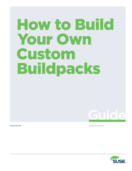# How to Build Your Own Custom Buildpacks



www.suse.com **Application Delivery** Application Delivery Application Delivery Application Delivery

**Guide** 

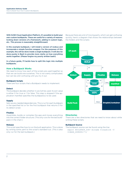With SUSE Cloud Application Platform, it's possible to build your own custom buildpacks. These are useful for a variety of reasons: locking down versions of a framework, adding in custom logic, etc.. This process is reasonably straightforward.

In this example buildpack, I will install a version of node.js and incorporate a simple function wrapper. For the purposes of this example, this will be done inside a single buildpack. It will also be done purely in Bash to provide more clarity on how everything works together. (Please forgive my poorly written bash!)

In a future guide, I'll tackle how to split this logic into multiple buildpacks.

# **How a Buildpack Works**

We need to know how each of the scripts are used together so that we can build one ourselves. This is not overly complicated, but can be a bit confusing until you try it out.

# **Buildpack Scripts**

There are four scripts that a Buildpack needs to implement:

#### **Detect**

The buildpack decides whether it can/will be used. Its exit value is either 0 for true or 1 for false. This step is skipped if the application manifest specifies the buildpack(s) to be used.

#### **Supply**

Sets up any needed dependencies. This is run for each buildpack in the specified list or for the first buildpack that returns 0 for its detect script.

# **Finalize**

Assembles, builds or compiles the app and moves everything into the correct folder structure. (This only runs for the last buildpack in the chain.)

#### **Release**

This script specifies how to run the built application. This is done by writing some yaml to the script's standard out. (This is also only run for the last buildpack.)

Because there are a lot of moving parts, which can get confusing quickly, here's a diagram that shows the relationships between the folders and the scripts:



#### **Directories**

There are a few directories that we need to know about while writing these scripts.

#### **Buildpack Source**

The buildpack source can be found using the line: export BUILDPACK DIR=`dirname \$(readlink -f \${BASH\_SOURCE%/\*})`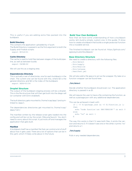This is useful if you are adding extra files packed into the buildpack.

# **Build Directory**

This contains the application uploaded by cf push. The Build Directory is passed in as the first argument to both the Supply and Finalize scripts: export BUILD=\$1

#### **Cache Directory**

The cache is used to hold files between stages of the build pipeline, as well as between builds:

export CACHE=\$2

We will use this as a staging area.

#### **Dependencies Directory**

This is actually a set of directories, one for each buildpack in the chain. The current one can be found with this, where \$3 is the general directory and \$4 is the index of the buildpack:

export DEPS=\$3/\$4

## **Droplet Structure**

The output of the buildpack staging process will be a droplet. This is the file structure that will then get built into the diego cell (or container with Eirini enabled!).

The built directory gets mounted to /home/vcap/app/ (and symlinked to /app/).

The dependencies directories get mounted to /home/vcap/ deps/<id>/.

The manifest written by the release script gets loaded into the config and will be run by the script /lifecycle/launch. You don't need to worry about this script. It just kicks off and manages the application that gets built.

# **Manifest**

A buildpack itself has a manifest file that can control a lot of stuff about how it gets used. There are a lot of options that can be in this yaml, which I'll likely write about in the future.

#### **Build Your Own Buildpack**

Now that we have some understanding of how a buildpack works, let's build a simple, custom one. In this guide, I'll show how to create a buildpack that builds a single javascript function into a routable service.

The finished buildpack can be found at: https://github.com/ agracey/custombuildpack/

# **Base Directory Structure**

We need to create a directory with the following files:

- ./bin/detect
- ./bin/supply
- ./bin/finalize ./bin/release
- 
- ./manifest.yml

We will also add a file app.js to act as the wrapper. My take on a function wrapper can be found here.

# ./bin/detect

Decide whether the buildpack should even run. The application directory is passed in as \$1.

We will require the user to have a file containing the function, as well as a package.json with any additional dependencies.

This can be achieved in bash with:

```
if [ -f $1/package.json && -f $1/function.js ]; 
then 
 echo "node function`cat $BP/VERSION`" && exit 0 
else 
 echo "no" && exit 1 
fi
```
The way this works is that if it sees both files, it prints the version and returns 0. If it doesn't see one or the other, it prints "no" and returns a 1.

## ./bin/supply

Pulls in any needed dependencies.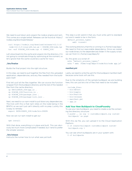We need to pull down and unpack the node.js engine and npm. This comes as a single tarball. Releases can be found at: https:// nodejs.org/download/release/

curl https://nodejs.org/download/release/v12.5.0/ node-v12.5.0-linux-x64.tar.gz > \$CACHE\_DIR/node.tgz tar -xzf \$CACHE\_DIR/node.tgz -C \$DEPS\_DIR/

Let's download into the cache and unpack into the directory. (I'm not going to complicate things by optimizing at the moment, so let's ignore that the cache could be a cache for now.)

#### ./bin/finalize

Builds the final project into the right structure.

In this step, we need to pull together the files from the uploaded application, dependencies, and any files needed from the buildpack itself.

First let's pull all the files together. We can source the function wrapper from the buildpack directory and the rest of the needed files from the cache directory:

- cp \$BUILDPACK\_DIR/app.js .
- cp \$CACHE DIR/function.js .
- cp \$CACHE\_DIR/package.json .
- cp \$CACHE DIR/package-lock.json .

Next, we need to run npm install to pull down any dependencies. The trick with this is that npm relies on the node being in the \$PATH, so we can't just call it directly with no prep. Luckily, this is easy to remedy:

export PATH=\$DEPS\_DIR/node/bin:\$PATH

Now we can run npm install to get our

npm install

With that done, everything is in place and built. This can obviously be much more complicated if needed, but I tend to prefer the simpler solution.

#### ./bin/release

Instructs the runner how to run what was just built.

This step is a bit weird in that you must write yaml to standard out and it needs to be in the form:

default process types: web: <runner>

The working directory that this is running in is /home/vcap/app/. We need to find our executable dependency. Since we copied our node binary to the dependencies folder in the supply script, we can find it in /home/vcap/deps/0/.

So, this gives us a script of: echo "default process types:"

```
echo " web: /home/vcap/deps/0/node/bin/node app.js"
```
#### manifest.yml

Lastly, we need to write the yaml for the buildpack manifest itself, because some tools will use this.

Due to the simplicity of the sample buildpack we are building here, this can just be a list of files that need to be included: ---

- include\_files:
- bin/detect
- bin/supply
- bin/finalize
- bin/release
- manifest.yml
- app.js

# **Add Your New Buildpack to CloudFoundry**

To use your new buildpack, you need to create a zip file containing the directory structure:

\$ pushd .. && zip –r custombuildpack.zip custombuildpack/ && popd

With this zip file, you can upload it to the Cloud Application Platform:

- \$ cf create-buildpack custombuildpack custombuildpack.zip 1
- You can see which buildpacks are in your system with:

\$ cf buildpacks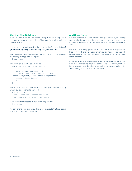# **Use Your New Buildpack**

Now you can build an application using this new buildpack. In a separate folder, you need these files: manifest.yml, function.js, package.json.

An example application using the code can be found at: **[https://](https://github.com/agracey/custombuildpack_exampleapp  )** [github.com/agracey/custombuildpack\\_exampleapp](https://github.com/agracey/custombuildpack_exampleapp  ) 

The package.json can be generated by following the prompts from: (or just copy the example) \$ npm init

```
The function.js can be as simple as:
 var exports = module.exports = { 
      run: (event, context) =>{ 
      console.log('HELLO CONSOLE!', JSON.
  stringify(event), JSON.stringify(context)) 
      return "Hello World" 
     } 
  }
```
The manifest needs to give a name to the application and specify which buildpack should be used:

applications:

```
- name: test-with-custom-function
```

```
- buildpacks: [ custombuildpacks ]
```
With these files created, run your new app with:

\$ cf push

As part of the output, it should give you the route that is created, which you can now browse to.

# **Additional Notes**

Custom buildpacks can be an incredibly powerful way to simplify your application delivery lifecycle. You can add your own commonly used patterns and frameworks in an easily manageable way.

With this flexibility, you can make SUSE Cloud Application Platform work the way your organization needs it to work. It also allows you to move complexity to a more appropriate place in the process.

As noted above, this guide will likely be followed by exploring even more interesting ways to use this. As a sneak peak, I'm hoping to look at: multi-buildpack scenarios, airgapped buildpacks, and caching in buildpacks for optimization.